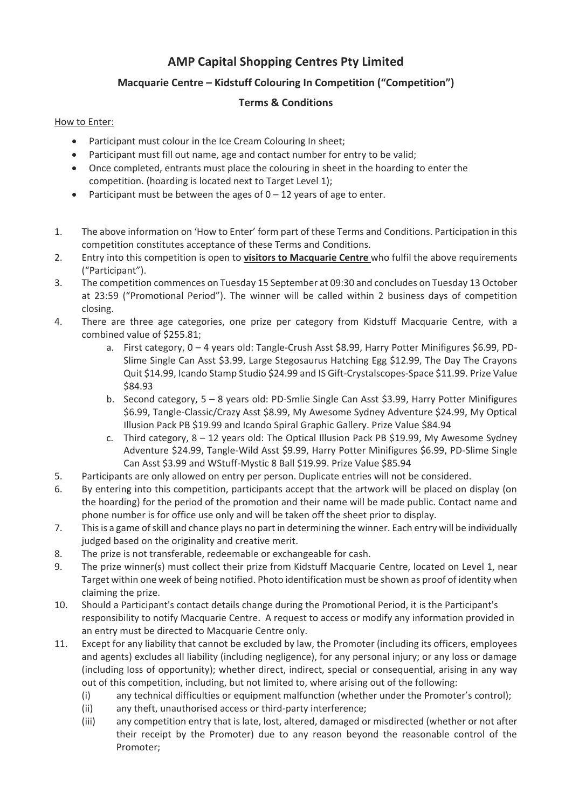## **AMP Capital Shopping Centres Pty Limited**

## **Macquarie Centre – Kidstuff Colouring In Competition ("Competition")**

## **Terms & Conditions**

## How to Enter:

- Participant must colour in the Ice Cream Colouring In sheet;
- Participant must fill out name, age and contact number for entry to be valid;
- Once completed, entrants must place the colouring in sheet in the hoarding to enter the competition. (hoarding is located next to Target Level 1);
- Participant must be between the ages of  $0 12$  years of age to enter.
- 1. The above information on 'How to Enter' form part of these Terms and Conditions. Participation in this competition constitutes acceptance of these Terms and Conditions.
- 2. Entry into this competition is open to **visitors to Macquarie Centre** who fulfil the above requirements ("Participant").
- 3. The competition commences on Tuesday 15 September at 09:30 and concludes on Tuesday 13 October at 23:59 ("Promotional Period"). The winner will be called within 2 business days of competition closing.
- 4. There are three age categories, one prize per category from Kidstuff Macquarie Centre, with a combined value of \$255.81;
	- a. First category, 0 4 years old: Tangle-Crush Asst \$8.99, Harry Potter Minifigures \$6.99, PD-Slime Single Can Asst \$3.99, Large Stegosaurus Hatching Egg \$12.99, The Day The Crayons Quit \$14.99, Icando Stamp Studio \$24.99 and IS Gift-Crystalscopes-Space \$11.99. Prize Value \$84.93
	- b. Second category, 5 8 years old: PD-Smlie Single Can Asst \$3.99, Harry Potter Minifigures \$6.99, Tangle-Classic/Crazy Asst \$8.99, My Awesome Sydney Adventure \$24.99, My Optical Illusion Pack PB \$19.99 and Icando Spiral Graphic Gallery. Prize Value \$84.94
	- c. Third category, 8 12 years old: The Optical Illusion Pack PB \$19.99, My Awesome Sydney Adventure \$24.99, Tangle-Wild Asst \$9.99, Harry Potter Minifigures \$6.99, PD-Slime Single Can Asst \$3.99 and WStuff-Mystic 8 Ball \$19.99. Prize Value \$85.94
- 5. Participants are only allowed on entry per person. Duplicate entries will not be considered.
- 6. By entering into this competition, participants accept that the artwork will be placed on display (on the hoarding) for the period of the promotion and their name will be made public. Contact name and phone number is for office use only and will be taken off the sheet prior to display.
- 7. This is a game of skill and chance plays no part in determining the winner. Each entry will be individually judged based on the originality and creative merit.
- 8. The prize is not transferable, redeemable or exchangeable for cash.
- 9. The prize winner(s) must collect their prize from Kidstuff Macquarie Centre, located on Level 1, near Target within one week of being notified. Photo identification must be shown as proof of identity when claiming the prize.
- 10. Should a Participant's contact details change during the Promotional Period, it is the Participant's responsibility to notify Macquarie Centre. A request to access or modify any information provided in an entry must be directed to Macquarie Centre only.
- 11. Except for any liability that cannot be excluded by law, the Promoter (including its officers, employees and agents) excludes all liability (including negligence), for any personal injury; or any loss or damage (including loss of opportunity); whether direct, indirect, special or consequential, arising in any way out of this competition, including, but not limited to, where arising out of the following:
	- (i) any technical difficulties or equipment malfunction (whether under the Promoter's control);
	- (ii) any theft, unauthorised access or third-party interference;
	- (iii) any competition entry that is late, lost, altered, damaged or misdirected (whether or not after their receipt by the Promoter) due to any reason beyond the reasonable control of the Promoter;